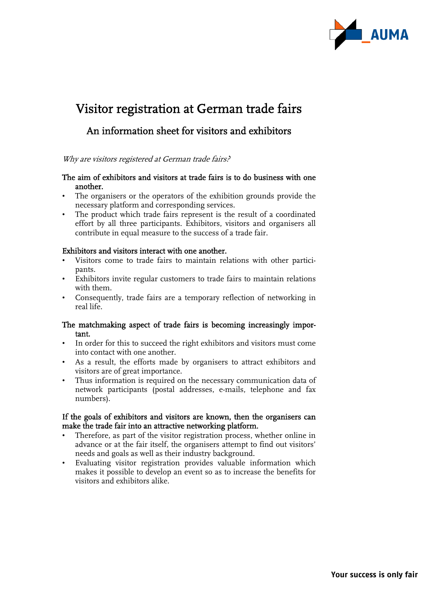

# Visitor registration at German trade fairs

# An information sheet for visitors and exhibitors

Why are visitors registered at German trade fairs?

# The aim of exhibitors and visitors at trade fairs is to do business with one another.

- The organisers or the operators of the exhibition grounds provide the necessary platform and corresponding services.
- The product which trade fairs represent is the result of a coordinated effort by all three participants. Exhibitors, visitors and organisers all contribute in equal measure to the success of a trade fair.

#### Exhibitors and visitors interact with one another.

- Visitors come to trade fairs to maintain relations with other participants.
- Exhibitors invite regular customers to trade fairs to maintain relations with them.
- Consequently, trade fairs are a temporary reflection of networking in real life.

# The matchmaking aspect of trade fairs is becoming increasingly important.

- In order for this to succeed the right exhibitors and visitors must come into contact with one another.
- As a result, the efforts made by organisers to attract exhibitors and visitors are of great importance.
- Thus information is required on the necessary communication data of network participants (postal addresses, e-mails, telephone and fax numbers).

# If the goals of exhibitors and visitors are known, then the organisers can make the trade fair into an attractive networking platform.

- Therefore, as part of the visitor registration process, whether online in advance or at the fair itself, the organisers attempt to find out visitors' needs and goals as well as their industry background.
- Evaluating visitor registration provides valuable information which makes it possible to develop an event so as to increase the benefits for visitors and exhibitors alike.